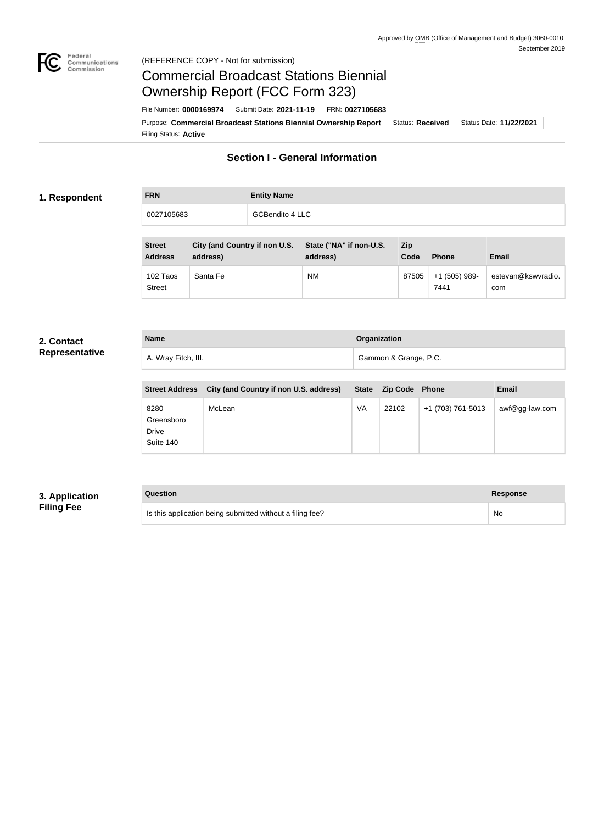

#### Federal<br>Communications<br>Commission (REFERENCE COPY - Not for submission)

## Commercial Broadcast Stations Biennial Ownership Report (FCC Form 323)

Filing Status: **Active** Purpose: Commercial Broadcast Stations Biennial Ownership Report Status: Received Status Date: 11/22/2021 File Number: **0000169974** Submit Date: **2021-11-19** FRN: **0027105683**

## **Section I - General Information**

#### **1. Respondent**

**FRN Entity Name** 0027105683 GCBendito 4 LLC

| <b>Street</b><br><b>Address</b> | City (and Country if non U.S.<br>address) | State ("NA" if non-U.S.<br>address) | Zip<br>Code | <b>Phone</b>          | Email                     |
|---------------------------------|-------------------------------------------|-------------------------------------|-------------|-----------------------|---------------------------|
| 102 Taos<br><b>Street</b>       | Santa Fe                                  | <b>NM</b>                           | 87505       | +1 (505) 989-<br>7441 | estevan@kswvradio.<br>com |

#### **2. Contact Representative**

| <b>Name</b>         | Organization          |  |
|---------------------|-----------------------|--|
| A. Wray Fitch, III. | Gammon & Grange, P.C. |  |

| <b>Street Address</b>                           | City (and Country if non U.S. address) |    | State Zip Code Phone |                   | <b>Email</b>   |
|-------------------------------------------------|----------------------------------------|----|----------------------|-------------------|----------------|
| 8280<br>Greensboro<br><b>Drive</b><br>Suite 140 | McLean                                 | VA | 22102                | +1 (703) 761-5013 | awf@gg-law.com |

## **3. Application Filing Fee**

| Question                                                  | Response |
|-----------------------------------------------------------|----------|
| Is this application being submitted without a filing fee? | No       |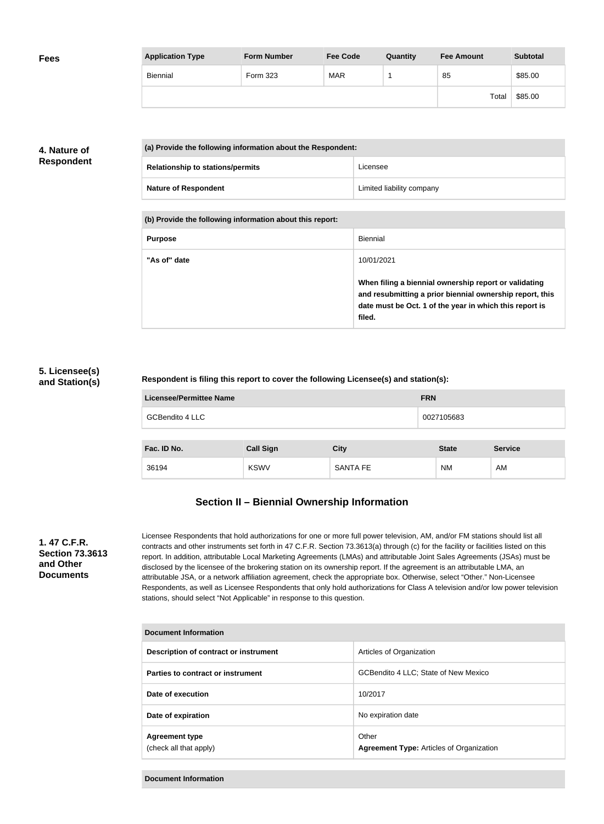| <b>Fees</b> | <b>Application Type</b> | <b>Form Number</b> | <b>Fee Code</b> | Quantity | <b>Fee Amount</b> | <b>Subtotal</b> |
|-------------|-------------------------|--------------------|-----------------|----------|-------------------|-----------------|
|             | Biennial                | Form 323           | <b>MAR</b>      |          | 85                | \$85.00         |
|             |                         |                    |                 |          | Total             | \$85.00         |

## **4. Nature of Respondent**

| (a) Provide the following information about the Respondent: |                                         |                           |
|-------------------------------------------------------------|-----------------------------------------|---------------------------|
|                                                             | <b>Relationship to stations/permits</b> | Licensee                  |
|                                                             | <b>Nature of Respondent</b>             | Limited liability company |

**(b) Provide the following information about this report:**

| <b>Purpose</b> | Biennial                                                                                                                                                                               |
|----------------|----------------------------------------------------------------------------------------------------------------------------------------------------------------------------------------|
| "As of" date   | 10/01/2021                                                                                                                                                                             |
|                | When filing a biennial ownership report or validating<br>and resubmitting a prior biennial ownership report, this<br>date must be Oct. 1 of the year in which this report is<br>filed. |

#### **5. Licensee(s) and Station(s)**

#### **Respondent is filing this report to cover the following Licensee(s) and station(s):**

| <b>Licensee/Permittee Name</b> | <b>FRN</b>       |                 |              |                |  |
|--------------------------------|------------------|-----------------|--------------|----------------|--|
| <b>GCBendito 4 LLC</b>         |                  |                 | 0027105683   |                |  |
|                                |                  |                 |              |                |  |
| Fac. ID No.                    | <b>Call Sign</b> | <b>City</b>     | <b>State</b> | <b>Service</b> |  |
| 36194                          | <b>KSWV</b>      | <b>SANTA FE</b> | <b>NM</b>    | AM             |  |

## **Section II – Biennial Ownership Information**

#### **1. 47 C.F.R. Section 73.3613 and Other Documents**

Licensee Respondents that hold authorizations for one or more full power television, AM, and/or FM stations should list all contracts and other instruments set forth in 47 C.F.R. Section 73.3613(a) through (c) for the facility or facilities listed on this report. In addition, attributable Local Marketing Agreements (LMAs) and attributable Joint Sales Agreements (JSAs) must be disclosed by the licensee of the brokering station on its ownership report. If the agreement is an attributable LMA, an attributable JSA, or a network affiliation agreement, check the appropriate box. Otherwise, select "Other." Non-Licensee Respondents, as well as Licensee Respondents that only hold authorizations for Class A television and/or low power television stations, should select "Not Applicable" in response to this question.

| Document Information                            |                                                          |  |  |
|-------------------------------------------------|----------------------------------------------------------|--|--|
| Description of contract or instrument           | Articles of Organization                                 |  |  |
| Parties to contract or instrument               | GCBendito 4 LLC; State of New Mexico                     |  |  |
| Date of execution                               | 10/2017                                                  |  |  |
| Date of expiration                              | No expiration date                                       |  |  |
| <b>Agreement type</b><br>(check all that apply) | Other<br><b>Agreement Type: Articles of Organization</b> |  |  |

**Document Information**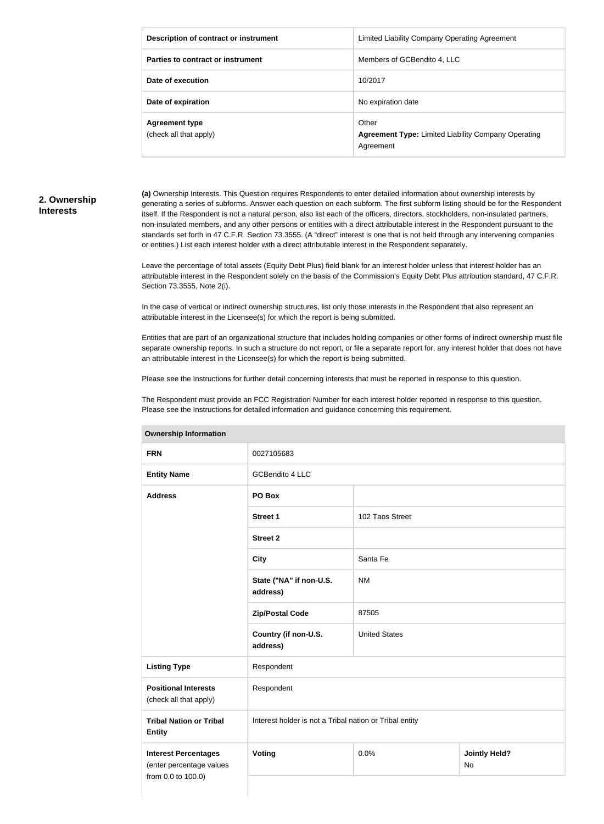| Description of contract or instrument           | Limited Liability Company Operating Agreement                                    |
|-------------------------------------------------|----------------------------------------------------------------------------------|
| Parties to contract or instrument               | Members of GCBendito 4, LLC                                                      |
| Date of execution                               | 10/2017                                                                          |
| Date of expiration                              | No expiration date                                                               |
| <b>Agreement type</b><br>(check all that apply) | Other<br><b>Agreement Type: Limited Liability Company Operating</b><br>Agreement |

#### **2. Ownership Interests**

**(a)** Ownership Interests. This Question requires Respondents to enter detailed information about ownership interests by generating a series of subforms. Answer each question on each subform. The first subform listing should be for the Respondent itself. If the Respondent is not a natural person, also list each of the officers, directors, stockholders, non-insulated partners, non-insulated members, and any other persons or entities with a direct attributable interest in the Respondent pursuant to the standards set forth in 47 C.F.R. Section 73.3555. (A "direct" interest is one that is not held through any intervening companies or entities.) List each interest holder with a direct attributable interest in the Respondent separately.

Leave the percentage of total assets (Equity Debt Plus) field blank for an interest holder unless that interest holder has an attributable interest in the Respondent solely on the basis of the Commission's Equity Debt Plus attribution standard, 47 C.F.R. Section 73.3555, Note 2(i).

In the case of vertical or indirect ownership structures, list only those interests in the Respondent that also represent an attributable interest in the Licensee(s) for which the report is being submitted.

Entities that are part of an organizational structure that includes holding companies or other forms of indirect ownership must file separate ownership reports. In such a structure do not report, or file a separate report for, any interest holder that does not have an attributable interest in the Licensee(s) for which the report is being submitted.

Please see the Instructions for further detail concerning interests that must be reported in response to this question.

The Respondent must provide an FCC Registration Number for each interest holder reported in response to this question. Please see the Instructions for detailed information and guidance concerning this requirement.

| <b>FRN</b>                                                                    | 0027105683                                              |                      |                                   |  |
|-------------------------------------------------------------------------------|---------------------------------------------------------|----------------------|-----------------------------------|--|
| <b>Entity Name</b>                                                            | GCBendito 4 LLC                                         |                      |                                   |  |
| <b>Address</b>                                                                | PO Box                                                  |                      |                                   |  |
|                                                                               | <b>Street 1</b>                                         | 102 Taos Street      |                                   |  |
|                                                                               | <b>Street 2</b>                                         |                      |                                   |  |
|                                                                               | <b>City</b>                                             | Santa Fe             |                                   |  |
|                                                                               | State ("NA" if non-U.S.<br>address)                     | <b>NM</b>            |                                   |  |
|                                                                               | <b>Zip/Postal Code</b>                                  | 87505                |                                   |  |
|                                                                               | Country (if non-U.S.<br>address)                        | <b>United States</b> |                                   |  |
| <b>Listing Type</b>                                                           | Respondent                                              |                      |                                   |  |
| <b>Positional Interests</b><br>(check all that apply)                         | Respondent                                              |                      |                                   |  |
| <b>Tribal Nation or Tribal</b><br><b>Entity</b>                               | Interest holder is not a Tribal nation or Tribal entity |                      |                                   |  |
| <b>Interest Percentages</b><br>(enter percentage values<br>from 0.0 to 100.0) | Voting                                                  | 0.0%                 | <b>Jointly Held?</b><br><b>No</b> |  |

#### **Ownership Information**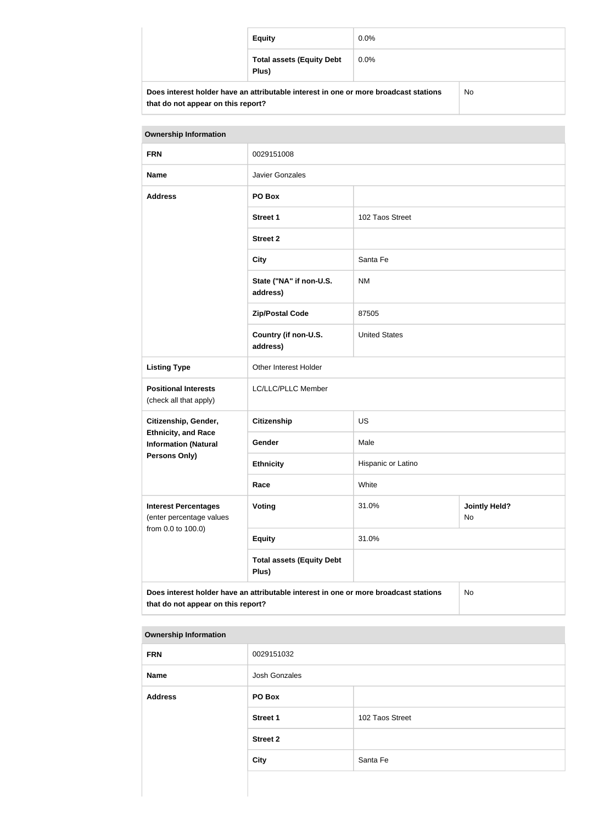|                                                                                      | <b>Equity</b>                             | $0.0\%$ |    |
|--------------------------------------------------------------------------------------|-------------------------------------------|---------|----|
|                                                                                      | <b>Total assets (Equity Debt</b><br>Plus) | $0.0\%$ |    |
| Does interest holder have an attributable interest in one or more broadcast stations |                                           |         | No |

| <b>Ownership Information</b>                                                                                                     |                                           |                      |                            |
|----------------------------------------------------------------------------------------------------------------------------------|-------------------------------------------|----------------------|----------------------------|
| <b>FRN</b>                                                                                                                       | 0029151008                                |                      |                            |
| <b>Name</b>                                                                                                                      | <b>Javier Gonzales</b>                    |                      |                            |
| <b>Address</b>                                                                                                                   | PO Box                                    |                      |                            |
|                                                                                                                                  | <b>Street 1</b>                           | 102 Taos Street      |                            |
|                                                                                                                                  | <b>Street 2</b>                           |                      |                            |
|                                                                                                                                  | <b>City</b>                               | Santa Fe             |                            |
|                                                                                                                                  | State ("NA" if non-U.S.<br>address)       | <b>NM</b>            |                            |
|                                                                                                                                  | <b>Zip/Postal Code</b>                    | 87505                |                            |
|                                                                                                                                  | Country (if non-U.S.<br>address)          | <b>United States</b> |                            |
| <b>Listing Type</b>                                                                                                              | Other Interest Holder                     |                      |                            |
| <b>Positional Interests</b><br>(check all that apply)                                                                            | LC/LLC/PLLC Member                        |                      |                            |
| Citizenship, Gender,                                                                                                             | <b>Citizenship</b>                        | <b>US</b>            |                            |
| <b>Ethnicity, and Race</b><br><b>Information (Natural</b>                                                                        | Gender                                    | Male                 |                            |
| Persons Only)                                                                                                                    | <b>Ethnicity</b>                          | Hispanic or Latino   |                            |
|                                                                                                                                  | Race                                      | White                |                            |
| <b>Interest Percentages</b><br>(enter percentage values<br>from 0.0 to 100.0)                                                    | <b>Voting</b>                             | 31.0%                | <b>Jointly Held?</b><br>No |
|                                                                                                                                  | <b>Equity</b>                             | 31.0%                |                            |
|                                                                                                                                  | <b>Total assets (Equity Debt</b><br>Plus) |                      |                            |
| Does interest holder have an attributable interest in one or more broadcast stations<br>No<br>that do not appear on this report? |                                           |                      |                            |

#### **Ownership Information**

**that do not appear on this report?**

| <b>FRN</b>     | 0029151032      |                 |
|----------------|-----------------|-----------------|
| Name           | Josh Gonzales   |                 |
| <b>Address</b> | PO Box          |                 |
|                | <b>Street 1</b> | 102 Taos Street |
|                | <b>Street 2</b> |                 |
|                | <b>City</b>     | Santa Fe        |
|                |                 |                 |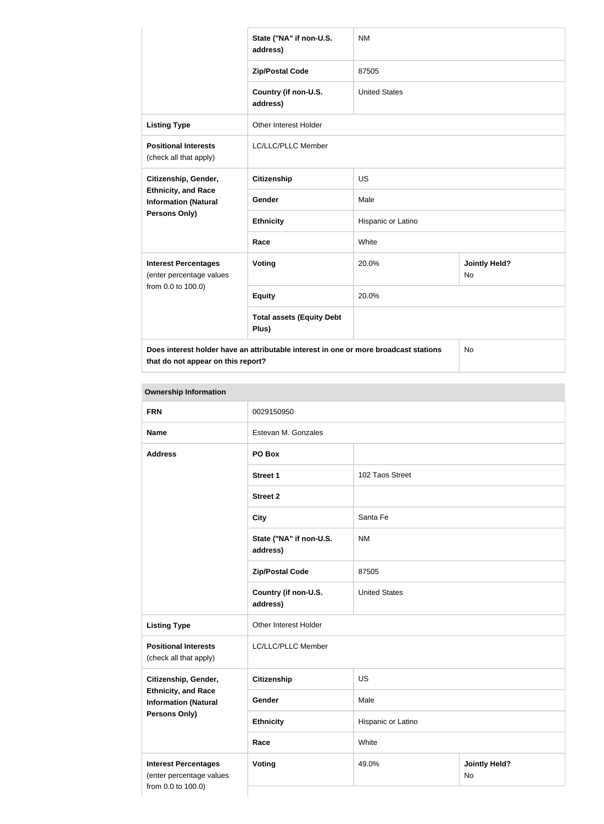|                                                                                      | State ("NA" if non-U.S.<br>address)       | <b>NM</b>            |                            |
|--------------------------------------------------------------------------------------|-------------------------------------------|----------------------|----------------------------|
|                                                                                      | <b>Zip/Postal Code</b>                    | 87505                |                            |
|                                                                                      | Country (if non-U.S.<br>address)          | <b>United States</b> |                            |
| <b>Listing Type</b>                                                                  | <b>Other Interest Holder</b>              |                      |                            |
| <b>Positional Interests</b><br>(check all that apply)                                | LC/LLC/PLLC Member                        |                      |                            |
| Citizenship, Gender,                                                                 | <b>Citizenship</b>                        | <b>US</b>            |                            |
| <b>Ethnicity, and Race</b><br><b>Information (Natural</b><br>Persons Only)           | Gender                                    | Male                 |                            |
|                                                                                      | <b>Ethnicity</b>                          | Hispanic or Latino   |                            |
|                                                                                      | Race                                      | White                |                            |
| <b>Interest Percentages</b><br>(enter percentage values<br>from 0.0 to 100.0)        | <b>Voting</b>                             | 20.0%                | <b>Jointly Held?</b><br>No |
|                                                                                      | <b>Equity</b>                             | 20.0%                |                            |
|                                                                                      | <b>Total assets (Equity Debt</b><br>Plus) |                      |                            |
| Does interest holder have an attributable interest in one or more broadcast stations |                                           | No                   |                            |

**that do not appear on this report?**

| <b>Ownership Information</b>                                                                       |                                     |                      |                            |
|----------------------------------------------------------------------------------------------------|-------------------------------------|----------------------|----------------------------|
| <b>FRN</b>                                                                                         | 0029150950                          |                      |                            |
| <b>Name</b>                                                                                        | Estevan M. Gonzales                 |                      |                            |
| <b>Address</b>                                                                                     | PO Box                              |                      |                            |
|                                                                                                    | <b>Street 1</b>                     | 102 Taos Street      |                            |
|                                                                                                    | <b>Street 2</b>                     |                      |                            |
|                                                                                                    | <b>City</b>                         | Santa Fe             |                            |
|                                                                                                    | State ("NA" if non-U.S.<br>address) | <b>NM</b>            |                            |
|                                                                                                    | <b>Zip/Postal Code</b>              | 87505                |                            |
|                                                                                                    | Country (if non-U.S.<br>address)    | <b>United States</b> |                            |
| <b>Listing Type</b>                                                                                | Other Interest Holder               |                      |                            |
| <b>Positional Interests</b><br>(check all that apply)                                              | LC/LLC/PLLC Member                  |                      |                            |
| Citizenship, Gender,<br><b>Ethnicity, and Race</b><br><b>Information (Natural</b><br>Persons Only) | <b>Citizenship</b>                  | US                   |                            |
|                                                                                                    | Gender                              | Male                 |                            |
|                                                                                                    | <b>Ethnicity</b>                    | Hispanic or Latino   |                            |
|                                                                                                    | Race                                | White                |                            |
| <b>Interest Percentages</b><br>(enter percentage values<br>from 0.0 to 100.0)                      | <b>Voting</b>                       | 49.0%                | <b>Jointly Held?</b><br>No |
|                                                                                                    |                                     |                      |                            |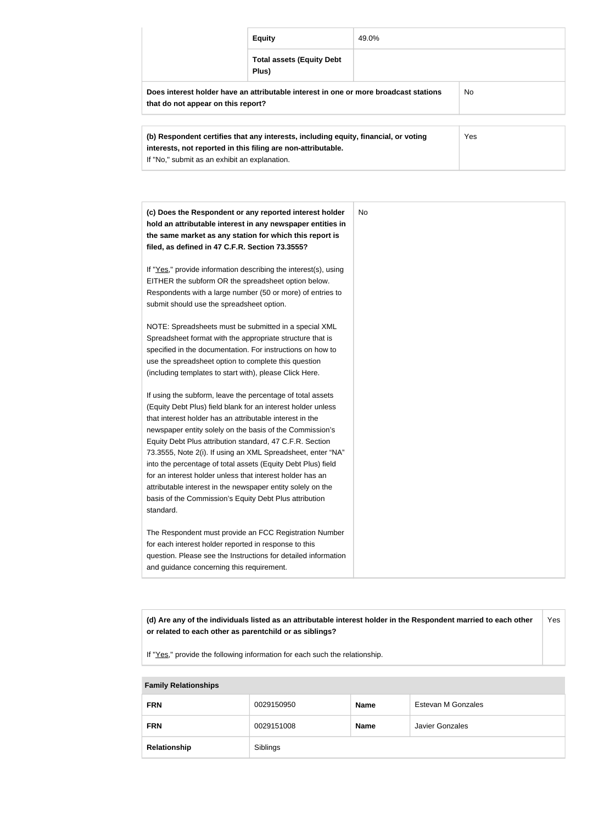|                                                                                                                                                            | <b>Equity</b>                             | 49.0% |  |
|------------------------------------------------------------------------------------------------------------------------------------------------------------|-------------------------------------------|-------|--|
|                                                                                                                                                            | <b>Total assets (Equity Debt</b><br>Plus) |       |  |
| Does interest holder have an attributable interest in one or more broadcast stations<br>No.<br>that do not appear on this report?                          |                                           |       |  |
| Yes<br>(b) Respondent certifies that any interests, including equity, financial, or voting<br>interests, not reported in this filing are non-attributable. |                                           |       |  |

| (c) Does the Respondent or any reported interest holder<br>hold an attributable interest in any newspaper entities in | No |
|-----------------------------------------------------------------------------------------------------------------------|----|
| the same market as any station for which this report is                                                               |    |
| filed, as defined in 47 C.F.R. Section 73.3555?                                                                       |    |
|                                                                                                                       |    |
| If "Yes," provide information describing the interest(s), using                                                       |    |
| EITHER the subform OR the spreadsheet option below.                                                                   |    |
| Respondents with a large number (50 or more) of entries to                                                            |    |
| submit should use the spreadsheet option.                                                                             |    |
| NOTE: Spreadsheets must be submitted in a special XML                                                                 |    |
| Spreadsheet format with the appropriate structure that is                                                             |    |
| specified in the documentation. For instructions on how to                                                            |    |
| use the spreadsheet option to complete this question                                                                  |    |
| (including templates to start with), please Click Here.                                                               |    |
| If using the subform, leave the percentage of total assets                                                            |    |
| (Equity Debt Plus) field blank for an interest holder unless                                                          |    |
| that interest holder has an attributable interest in the                                                              |    |
| newspaper entity solely on the basis of the Commission's                                                              |    |
| Equity Debt Plus attribution standard, 47 C.F.R. Section                                                              |    |
| 73.3555, Note 2(i). If using an XML Spreadsheet, enter "NA"                                                           |    |
| into the percentage of total assets (Equity Debt Plus) field                                                          |    |
| for an interest holder unless that interest holder has an                                                             |    |
| attributable interest in the newspaper entity solely on the                                                           |    |
| basis of the Commission's Equity Debt Plus attribution                                                                |    |
| standard.                                                                                                             |    |
|                                                                                                                       |    |
| The Respondent must provide an FCC Registration Number                                                                |    |
| for each interest holder reported in response to this                                                                 |    |
| question. Please see the Instructions for detailed information                                                        |    |
| and guidance concerning this requirement.                                                                             |    |

**(d) Are any of the individuals listed as an attributable interest holder in the Respondent married to each other or related to each other as parentchild or as siblings?** Yes

If "Yes," provide the following information for each such the relationship.

If "No," submit as an exhibit an explanation.

# **Family Relationships FRN** 0029150950 **Name** Estevan M Gonzales **FRN** 0029151008 **Name** Javier Gonzales **Relationship** Siblings